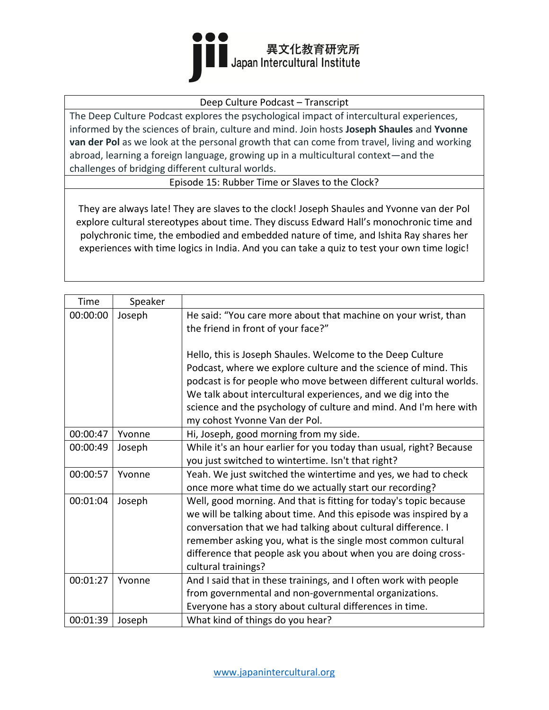

## Deep Culture Podcast – Transcript

The Deep Culture Podcast explores the psychological impact of intercultural experiences, informed by the sciences of brain, culture and mind. Join hosts **Joseph Shaules** and **Yvonne van der Pol** as we look at the personal growth that can come from travel, living and working abroad, learning a foreign language, growing up in a multicultural context—and the challenges of bridging different cultural worlds.

Episode 15: Rubber Time or Slaves to the Clock?

They are always late! They are slaves to the clock! Joseph Shaules and Yvonne van der Pol explore cultural stereotypes about time. They discuss Edward Hall's monochronic time and polychronic time, the embodied and embedded nature of time, and Ishita Ray shares her experiences with time logics in India. And you can take a quiz to test your own time logic!

| Time     | Speaker |                                                                     |
|----------|---------|---------------------------------------------------------------------|
| 00:00:00 | Joseph  | He said: "You care more about that machine on your wrist, than      |
|          |         | the friend in front of your face?"                                  |
|          |         |                                                                     |
|          |         | Hello, this is Joseph Shaules. Welcome to the Deep Culture          |
|          |         | Podcast, where we explore culture and the science of mind. This     |
|          |         | podcast is for people who move between different cultural worlds.   |
|          |         | We talk about intercultural experiences, and we dig into the        |
|          |         | science and the psychology of culture and mind. And I'm here with   |
|          |         | my cohost Yvonne Van der Pol.                                       |
| 00:00:47 | Yvonne  | Hi, Joseph, good morning from my side.                              |
| 00:00:49 | Joseph  | While it's an hour earlier for you today than usual, right? Because |
|          |         | you just switched to wintertime. Isn't that right?                  |
| 00:00:57 | Yvonne  | Yeah. We just switched the wintertime and yes, we had to check      |
|          |         | once more what time do we actually start our recording?             |
| 00:01:04 | Joseph  | Well, good morning. And that is fitting for today's topic because   |
|          |         | we will be talking about time. And this episode was inspired by a   |
|          |         | conversation that we had talking about cultural difference. I       |
|          |         | remember asking you, what is the single most common cultural        |
|          |         | difference that people ask you about when you are doing cross-      |
|          |         | cultural trainings?                                                 |
| 00:01:27 | Yvonne  | And I said that in these trainings, and I often work with people    |
|          |         | from governmental and non-governmental organizations.               |
|          |         | Everyone has a story about cultural differences in time.            |
| 00:01:39 | Joseph  | What kind of things do you hear?                                    |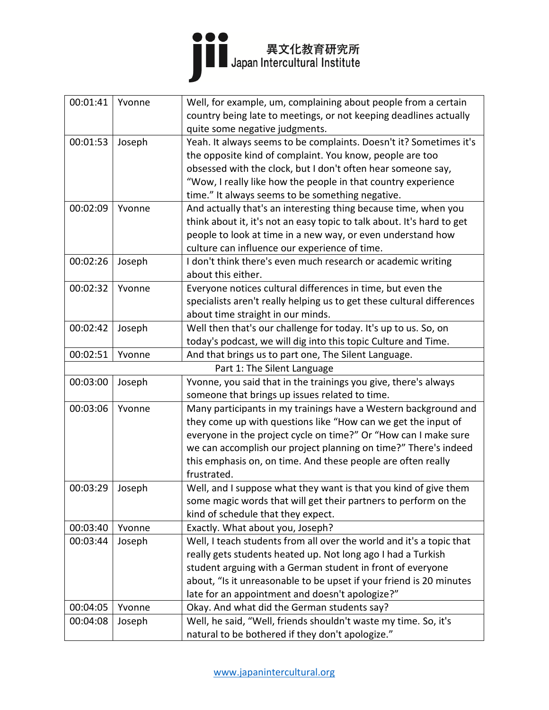

| 00:01:41 | Yvonne | Well, for example, um, complaining about people from a certain         |
|----------|--------|------------------------------------------------------------------------|
|          |        | country being late to meetings, or not keeping deadlines actually      |
|          |        | quite some negative judgments.                                         |
| 00:01:53 | Joseph | Yeah. It always seems to be complaints. Doesn't it? Sometimes it's     |
|          |        | the opposite kind of complaint. You know, people are too               |
|          |        | obsessed with the clock, but I don't often hear someone say,           |
|          |        | "Wow, I really like how the people in that country experience          |
|          |        | time." It always seems to be something negative.                       |
| 00:02:09 | Yvonne | And actually that's an interesting thing because time, when you        |
|          |        | think about it, it's not an easy topic to talk about. It's hard to get |
|          |        | people to look at time in a new way, or even understand how            |
|          |        | culture can influence our experience of time.                          |
| 00:02:26 | Joseph | I don't think there's even much research or academic writing           |
|          |        | about this either.                                                     |
| 00:02:32 | Yvonne | Everyone notices cultural differences in time, but even the            |
|          |        | specialists aren't really helping us to get these cultural differences |
|          |        | about time straight in our minds.                                      |
| 00:02:42 | Joseph | Well then that's our challenge for today. It's up to us. So, on        |
|          |        | today's podcast, we will dig into this topic Culture and Time.         |
| 00:02:51 | Yvonne | And that brings us to part one, The Silent Language.                   |
|          |        | Part 1: The Silent Language                                            |
| 00:03:00 | Joseph | Yvonne, you said that in the trainings you give, there's always        |
|          |        | someone that brings up issues related to time.                         |
| 00:03:06 | Yvonne | Many participants in my trainings have a Western background and        |
|          |        | they come up with questions like "How can we get the input of          |
|          |        | everyone in the project cycle on time?" Or "How can I make sure        |
|          |        | we can accomplish our project planning on time?" There's indeed        |
|          |        | this emphasis on, on time. And these people are often really           |
|          |        | frustrated.                                                            |
| 00:03:29 | Joseph | Well, and I suppose what they want is that you kind of give them       |
|          |        | some magic words that will get their partners to perform on the        |
|          |        | kind of schedule that they expect.                                     |
| 00:03:40 | Yvonne | Exactly. What about you, Joseph?                                       |
| 00:03:44 | Joseph | Well, I teach students from all over the world and it's a topic that   |
|          |        | really gets students heated up. Not long ago I had a Turkish           |
|          |        | student arguing with a German student in front of everyone             |
|          |        | about, "Is it unreasonable to be upset if your friend is 20 minutes    |
|          |        | late for an appointment and doesn't apologize?"                        |
| 00:04:05 | Yvonne | Okay. And what did the German students say?                            |
| 00:04:08 | Joseph | Well, he said, "Well, friends shouldn't waste my time. So, it's        |
|          |        | natural to be bothered if they don't apologize."                       |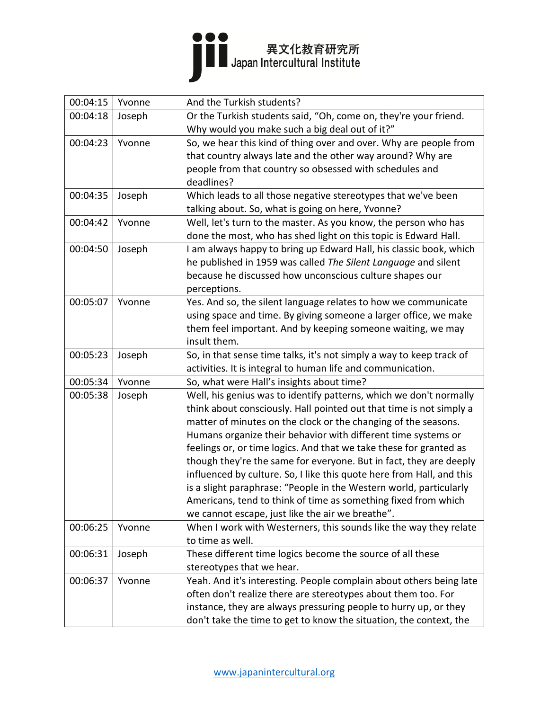

| 00:04:15 | Yvonne | And the Turkish students?                                             |
|----------|--------|-----------------------------------------------------------------------|
| 00:04:18 | Joseph | Or the Turkish students said, "Oh, come on, they're your friend.      |
|          |        | Why would you make such a big deal out of it?"                        |
| 00:04:23 | Yvonne | So, we hear this kind of thing over and over. Why are people from     |
|          |        | that country always late and the other way around? Why are            |
|          |        | people from that country so obsessed with schedules and               |
|          |        | deadlines?                                                            |
| 00:04:35 | Joseph | Which leads to all those negative stereotypes that we've been         |
|          |        | talking about. So, what is going on here, Yvonne?                     |
| 00:04:42 | Yvonne | Well, let's turn to the master. As you know, the person who has       |
|          |        | done the most, who has shed light on this topic is Edward Hall.       |
| 00:04:50 | Joseph | I am always happy to bring up Edward Hall, his classic book, which    |
|          |        | he published in 1959 was called The Silent Language and silent        |
|          |        | because he discussed how unconscious culture shapes our               |
|          |        | perceptions.                                                          |
| 00:05:07 | Yvonne | Yes. And so, the silent language relates to how we communicate        |
|          |        | using space and time. By giving someone a larger office, we make      |
|          |        | them feel important. And by keeping someone waiting, we may           |
|          |        | insult them.                                                          |
| 00:05:23 | Joseph | So, in that sense time talks, it's not simply a way to keep track of  |
|          |        | activities. It is integral to human life and communication.           |
| 00:05:34 | Yvonne | So, what were Hall's insights about time?                             |
| 00:05:38 | Joseph | Well, his genius was to identify patterns, which we don't normally    |
|          |        | think about consciously. Hall pointed out that time is not simply a   |
|          |        | matter of minutes on the clock or the changing of the seasons.        |
|          |        | Humans organize their behavior with different time systems or         |
|          |        | feelings or, or time logics. And that we take these for granted as    |
|          |        | though they're the same for everyone. But in fact, they are deeply    |
|          |        | influenced by culture. So, I like this quote here from Hall, and this |
|          |        | is a slight paraphrase: "People in the Western world, particularly    |
|          |        | Americans, tend to think of time as something fixed from which        |
|          |        | we cannot escape, just like the air we breathe".                      |
| 00:06:25 | Yvonne | When I work with Westerners, this sounds like the way they relate     |
|          |        | to time as well.                                                      |
| 00:06:31 | Joseph | These different time logics become the source of all these            |
|          |        | stereotypes that we hear.                                             |
| 00:06:37 | Yvonne | Yeah. And it's interesting. People complain about others being late   |
|          |        | often don't realize there are stereotypes about them too. For         |
|          |        | instance, they are always pressuring people to hurry up, or they      |
|          |        | don't take the time to get to know the situation, the context, the    |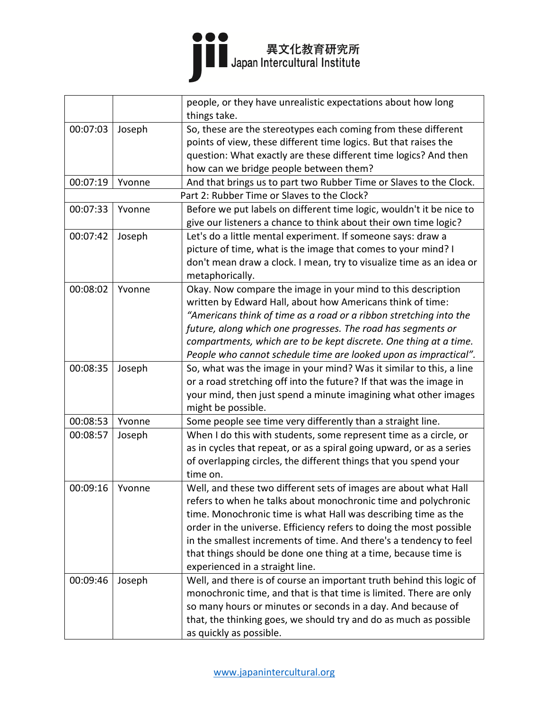

|          |        | people, or they have unrealistic expectations about how long                                                                             |
|----------|--------|------------------------------------------------------------------------------------------------------------------------------------------|
|          |        | things take.                                                                                                                             |
| 00:07:03 | Joseph | So, these are the stereotypes each coming from these different                                                                           |
|          |        | points of view, these different time logics. But that raises the                                                                         |
|          |        | question: What exactly are these different time logics? And then                                                                         |
|          |        | how can we bridge people between them?                                                                                                   |
| 00:07:19 | Yvonne | And that brings us to part two Rubber Time or Slaves to the Clock.                                                                       |
|          |        | Part 2: Rubber Time or Slaves to the Clock?                                                                                              |
| 00:07:33 | Yvonne | Before we put labels on different time logic, wouldn't it be nice to<br>give our listeners a chance to think about their own time logic? |
| 00:07:42 | Joseph | Let's do a little mental experiment. If someone says: draw a                                                                             |
|          |        | picture of time, what is the image that comes to your mind? I                                                                            |
|          |        | don't mean draw a clock. I mean, try to visualize time as an idea or                                                                     |
|          |        | metaphorically.                                                                                                                          |
| 00:08:02 | Yvonne | Okay. Now compare the image in your mind to this description                                                                             |
|          |        | written by Edward Hall, about how Americans think of time:                                                                               |
|          |        | "Americans think of time as a road or a ribbon stretching into the                                                                       |
|          |        | future, along which one progresses. The road has segments or                                                                             |
|          |        | compartments, which are to be kept discrete. One thing at a time.                                                                        |
|          |        | People who cannot schedule time are looked upon as impractical".                                                                         |
| 00:08:35 | Joseph | So, what was the image in your mind? Was it similar to this, a line                                                                      |
|          |        | or a road stretching off into the future? If that was the image in                                                                       |
|          |        | your mind, then just spend a minute imagining what other images                                                                          |
|          |        | might be possible.                                                                                                                       |
| 00:08:53 | Yvonne | Some people see time very differently than a straight line.                                                                              |
| 00:08:57 | Joseph | When I do this with students, some represent time as a circle, or                                                                        |
|          |        | as in cycles that repeat, or as a spiral going upward, or as a series                                                                    |
|          |        | of overlapping circles, the different things that you spend your                                                                         |
|          |        | time on.                                                                                                                                 |
| 00:09:16 | Yvonne | Well, and these two different sets of images are about what Hall                                                                         |
|          |        | refers to when he talks about monochronic time and polychronic                                                                           |
|          |        | time. Monochronic time is what Hall was describing time as the                                                                           |
|          |        | order in the universe. Efficiency refers to doing the most possible                                                                      |
|          |        | in the smallest increments of time. And there's a tendency to feel                                                                       |
|          |        | that things should be done one thing at a time, because time is                                                                          |
|          |        | experienced in a straight line.                                                                                                          |
| 00:09:46 | Joseph | Well, and there is of course an important truth behind this logic of                                                                     |
|          |        | monochronic time, and that is that time is limited. There are only                                                                       |
|          |        | so many hours or minutes or seconds in a day. And because of                                                                             |
|          |        | that, the thinking goes, we should try and do as much as possible                                                                        |
|          |        | as quickly as possible.                                                                                                                  |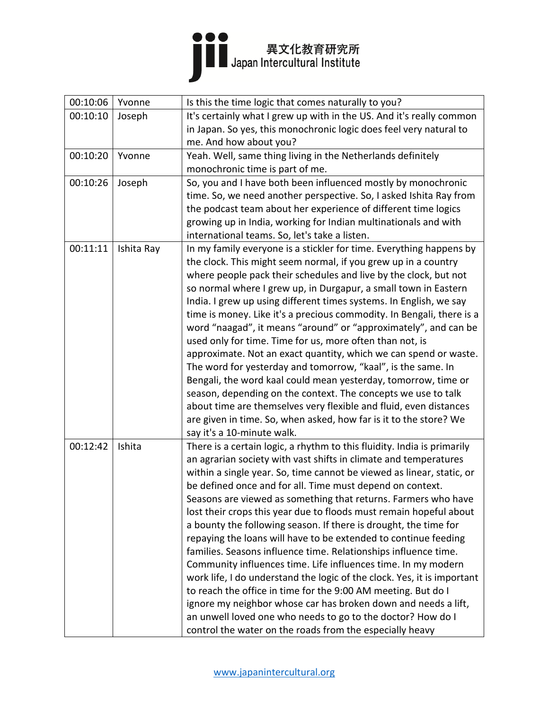

| 00:10:06 | Yvonne     | Is this the time logic that comes naturally to you?                                                                                                                                                                                                                                                                                                                                                                                                                                                                                                                                                                                                                                                                                                                                                                                                                                                                                                                                                                                                                                                                                                                                                                                                                                                                                                                                                                                                                                                                                                                                                                                                                                                                                                                                                                                           |
|----------|------------|-----------------------------------------------------------------------------------------------------------------------------------------------------------------------------------------------------------------------------------------------------------------------------------------------------------------------------------------------------------------------------------------------------------------------------------------------------------------------------------------------------------------------------------------------------------------------------------------------------------------------------------------------------------------------------------------------------------------------------------------------------------------------------------------------------------------------------------------------------------------------------------------------------------------------------------------------------------------------------------------------------------------------------------------------------------------------------------------------------------------------------------------------------------------------------------------------------------------------------------------------------------------------------------------------------------------------------------------------------------------------------------------------------------------------------------------------------------------------------------------------------------------------------------------------------------------------------------------------------------------------------------------------------------------------------------------------------------------------------------------------------------------------------------------------------------------------------------------------|
| 00:10:10 | Joseph     | It's certainly what I grew up with in the US. And it's really common                                                                                                                                                                                                                                                                                                                                                                                                                                                                                                                                                                                                                                                                                                                                                                                                                                                                                                                                                                                                                                                                                                                                                                                                                                                                                                                                                                                                                                                                                                                                                                                                                                                                                                                                                                          |
|          |            | in Japan. So yes, this monochronic logic does feel very natural to                                                                                                                                                                                                                                                                                                                                                                                                                                                                                                                                                                                                                                                                                                                                                                                                                                                                                                                                                                                                                                                                                                                                                                                                                                                                                                                                                                                                                                                                                                                                                                                                                                                                                                                                                                            |
|          |            | me. And how about you?                                                                                                                                                                                                                                                                                                                                                                                                                                                                                                                                                                                                                                                                                                                                                                                                                                                                                                                                                                                                                                                                                                                                                                                                                                                                                                                                                                                                                                                                                                                                                                                                                                                                                                                                                                                                                        |
| 00:10:20 | Yvonne     | Yeah. Well, same thing living in the Netherlands definitely                                                                                                                                                                                                                                                                                                                                                                                                                                                                                                                                                                                                                                                                                                                                                                                                                                                                                                                                                                                                                                                                                                                                                                                                                                                                                                                                                                                                                                                                                                                                                                                                                                                                                                                                                                                   |
|          |            | monochronic time is part of me.                                                                                                                                                                                                                                                                                                                                                                                                                                                                                                                                                                                                                                                                                                                                                                                                                                                                                                                                                                                                                                                                                                                                                                                                                                                                                                                                                                                                                                                                                                                                                                                                                                                                                                                                                                                                               |
| 00:10:26 | Joseph     | So, you and I have both been influenced mostly by monochronic                                                                                                                                                                                                                                                                                                                                                                                                                                                                                                                                                                                                                                                                                                                                                                                                                                                                                                                                                                                                                                                                                                                                                                                                                                                                                                                                                                                                                                                                                                                                                                                                                                                                                                                                                                                 |
|          |            | time. So, we need another perspective. So, I asked Ishita Ray from                                                                                                                                                                                                                                                                                                                                                                                                                                                                                                                                                                                                                                                                                                                                                                                                                                                                                                                                                                                                                                                                                                                                                                                                                                                                                                                                                                                                                                                                                                                                                                                                                                                                                                                                                                            |
|          |            | the podcast team about her experience of different time logics                                                                                                                                                                                                                                                                                                                                                                                                                                                                                                                                                                                                                                                                                                                                                                                                                                                                                                                                                                                                                                                                                                                                                                                                                                                                                                                                                                                                                                                                                                                                                                                                                                                                                                                                                                                |
|          |            | growing up in India, working for Indian multinationals and with                                                                                                                                                                                                                                                                                                                                                                                                                                                                                                                                                                                                                                                                                                                                                                                                                                                                                                                                                                                                                                                                                                                                                                                                                                                                                                                                                                                                                                                                                                                                                                                                                                                                                                                                                                               |
|          |            | international teams. So, let's take a listen.                                                                                                                                                                                                                                                                                                                                                                                                                                                                                                                                                                                                                                                                                                                                                                                                                                                                                                                                                                                                                                                                                                                                                                                                                                                                                                                                                                                                                                                                                                                                                                                                                                                                                                                                                                                                 |
| 00:11:11 | Ishita Ray | In my family everyone is a stickler for time. Everything happens by                                                                                                                                                                                                                                                                                                                                                                                                                                                                                                                                                                                                                                                                                                                                                                                                                                                                                                                                                                                                                                                                                                                                                                                                                                                                                                                                                                                                                                                                                                                                                                                                                                                                                                                                                                           |
|          |            | the clock. This might seem normal, if you grew up in a country                                                                                                                                                                                                                                                                                                                                                                                                                                                                                                                                                                                                                                                                                                                                                                                                                                                                                                                                                                                                                                                                                                                                                                                                                                                                                                                                                                                                                                                                                                                                                                                                                                                                                                                                                                                |
|          |            | where people pack their schedules and live by the clock, but not                                                                                                                                                                                                                                                                                                                                                                                                                                                                                                                                                                                                                                                                                                                                                                                                                                                                                                                                                                                                                                                                                                                                                                                                                                                                                                                                                                                                                                                                                                                                                                                                                                                                                                                                                                              |
|          |            |                                                                                                                                                                                                                                                                                                                                                                                                                                                                                                                                                                                                                                                                                                                                                                                                                                                                                                                                                                                                                                                                                                                                                                                                                                                                                                                                                                                                                                                                                                                                                                                                                                                                                                                                                                                                                                               |
|          |            |                                                                                                                                                                                                                                                                                                                                                                                                                                                                                                                                                                                                                                                                                                                                                                                                                                                                                                                                                                                                                                                                                                                                                                                                                                                                                                                                                                                                                                                                                                                                                                                                                                                                                                                                                                                                                                               |
|          |            |                                                                                                                                                                                                                                                                                                                                                                                                                                                                                                                                                                                                                                                                                                                                                                                                                                                                                                                                                                                                                                                                                                                                                                                                                                                                                                                                                                                                                                                                                                                                                                                                                                                                                                                                                                                                                                               |
|          |            |                                                                                                                                                                                                                                                                                                                                                                                                                                                                                                                                                                                                                                                                                                                                                                                                                                                                                                                                                                                                                                                                                                                                                                                                                                                                                                                                                                                                                                                                                                                                                                                                                                                                                                                                                                                                                                               |
|          |            |                                                                                                                                                                                                                                                                                                                                                                                                                                                                                                                                                                                                                                                                                                                                                                                                                                                                                                                                                                                                                                                                                                                                                                                                                                                                                                                                                                                                                                                                                                                                                                                                                                                                                                                                                                                                                                               |
|          |            |                                                                                                                                                                                                                                                                                                                                                                                                                                                                                                                                                                                                                                                                                                                                                                                                                                                                                                                                                                                                                                                                                                                                                                                                                                                                                                                                                                                                                                                                                                                                                                                                                                                                                                                                                                                                                                               |
|          |            |                                                                                                                                                                                                                                                                                                                                                                                                                                                                                                                                                                                                                                                                                                                                                                                                                                                                                                                                                                                                                                                                                                                                                                                                                                                                                                                                                                                                                                                                                                                                                                                                                                                                                                                                                                                                                                               |
|          |            |                                                                                                                                                                                                                                                                                                                                                                                                                                                                                                                                                                                                                                                                                                                                                                                                                                                                                                                                                                                                                                                                                                                                                                                                                                                                                                                                                                                                                                                                                                                                                                                                                                                                                                                                                                                                                                               |
|          |            |                                                                                                                                                                                                                                                                                                                                                                                                                                                                                                                                                                                                                                                                                                                                                                                                                                                                                                                                                                                                                                                                                                                                                                                                                                                                                                                                                                                                                                                                                                                                                                                                                                                                                                                                                                                                                                               |
|          |            |                                                                                                                                                                                                                                                                                                                                                                                                                                                                                                                                                                                                                                                                                                                                                                                                                                                                                                                                                                                                                                                                                                                                                                                                                                                                                                                                                                                                                                                                                                                                                                                                                                                                                                                                                                                                                                               |
|          |            |                                                                                                                                                                                                                                                                                                                                                                                                                                                                                                                                                                                                                                                                                                                                                                                                                                                                                                                                                                                                                                                                                                                                                                                                                                                                                                                                                                                                                                                                                                                                                                                                                                                                                                                                                                                                                                               |
|          |            |                                                                                                                                                                                                                                                                                                                                                                                                                                                                                                                                                                                                                                                                                                                                                                                                                                                                                                                                                                                                                                                                                                                                                                                                                                                                                                                                                                                                                                                                                                                                                                                                                                                                                                                                                                                                                                               |
|          |            |                                                                                                                                                                                                                                                                                                                                                                                                                                                                                                                                                                                                                                                                                                                                                                                                                                                                                                                                                                                                                                                                                                                                                                                                                                                                                                                                                                                                                                                                                                                                                                                                                                                                                                                                                                                                                                               |
|          |            |                                                                                                                                                                                                                                                                                                                                                                                                                                                                                                                                                                                                                                                                                                                                                                                                                                                                                                                                                                                                                                                                                                                                                                                                                                                                                                                                                                                                                                                                                                                                                                                                                                                                                                                                                                                                                                               |
|          |            |                                                                                                                                                                                                                                                                                                                                                                                                                                                                                                                                                                                                                                                                                                                                                                                                                                                                                                                                                                                                                                                                                                                                                                                                                                                                                                                                                                                                                                                                                                                                                                                                                                                                                                                                                                                                                                               |
|          |            |                                                                                                                                                                                                                                                                                                                                                                                                                                                                                                                                                                                                                                                                                                                                                                                                                                                                                                                                                                                                                                                                                                                                                                                                                                                                                                                                                                                                                                                                                                                                                                                                                                                                                                                                                                                                                                               |
|          |            |                                                                                                                                                                                                                                                                                                                                                                                                                                                                                                                                                                                                                                                                                                                                                                                                                                                                                                                                                                                                                                                                                                                                                                                                                                                                                                                                                                                                                                                                                                                                                                                                                                                                                                                                                                                                                                               |
|          |            |                                                                                                                                                                                                                                                                                                                                                                                                                                                                                                                                                                                                                                                                                                                                                                                                                                                                                                                                                                                                                                                                                                                                                                                                                                                                                                                                                                                                                                                                                                                                                                                                                                                                                                                                                                                                                                               |
|          |            |                                                                                                                                                                                                                                                                                                                                                                                                                                                                                                                                                                                                                                                                                                                                                                                                                                                                                                                                                                                                                                                                                                                                                                                                                                                                                                                                                                                                                                                                                                                                                                                                                                                                                                                                                                                                                                               |
|          |            |                                                                                                                                                                                                                                                                                                                                                                                                                                                                                                                                                                                                                                                                                                                                                                                                                                                                                                                                                                                                                                                                                                                                                                                                                                                                                                                                                                                                                                                                                                                                                                                                                                                                                                                                                                                                                                               |
|          |            |                                                                                                                                                                                                                                                                                                                                                                                                                                                                                                                                                                                                                                                                                                                                                                                                                                                                                                                                                                                                                                                                                                                                                                                                                                                                                                                                                                                                                                                                                                                                                                                                                                                                                                                                                                                                                                               |
|          |            |                                                                                                                                                                                                                                                                                                                                                                                                                                                                                                                                                                                                                                                                                                                                                                                                                                                                                                                                                                                                                                                                                                                                                                                                                                                                                                                                                                                                                                                                                                                                                                                                                                                                                                                                                                                                                                               |
|          |            |                                                                                                                                                                                                                                                                                                                                                                                                                                                                                                                                                                                                                                                                                                                                                                                                                                                                                                                                                                                                                                                                                                                                                                                                                                                                                                                                                                                                                                                                                                                                                                                                                                                                                                                                                                                                                                               |
|          |            |                                                                                                                                                                                                                                                                                                                                                                                                                                                                                                                                                                                                                                                                                                                                                                                                                                                                                                                                                                                                                                                                                                                                                                                                                                                                                                                                                                                                                                                                                                                                                                                                                                                                                                                                                                                                                                               |
|          |            |                                                                                                                                                                                                                                                                                                                                                                                                                                                                                                                                                                                                                                                                                                                                                                                                                                                                                                                                                                                                                                                                                                                                                                                                                                                                                                                                                                                                                                                                                                                                                                                                                                                                                                                                                                                                                                               |
|          |            |                                                                                                                                                                                                                                                                                                                                                                                                                                                                                                                                                                                                                                                                                                                                                                                                                                                                                                                                                                                                                                                                                                                                                                                                                                                                                                                                                                                                                                                                                                                                                                                                                                                                                                                                                                                                                                               |
| 00:12:42 | Ishita     | so normal where I grew up, in Durgapur, a small town in Eastern<br>India. I grew up using different times systems. In English, we say<br>time is money. Like it's a precious commodity. In Bengali, there is a<br>word "naagad", it means "around" or "approximately", and can be<br>used only for time. Time for us, more often than not, is<br>approximate. Not an exact quantity, which we can spend or waste.<br>The word for yesterday and tomorrow, "kaal", is the same. In<br>Bengali, the word kaal could mean yesterday, tomorrow, time or<br>season, depending on the context. The concepts we use to talk<br>about time are themselves very flexible and fluid, even distances<br>are given in time. So, when asked, how far is it to the store? We<br>say it's a 10-minute walk.<br>There is a certain logic, a rhythm to this fluidity. India is primarily<br>an agrarian society with vast shifts in climate and temperatures<br>within a single year. So, time cannot be viewed as linear, static, or<br>be defined once and for all. Time must depend on context.<br>Seasons are viewed as something that returns. Farmers who have<br>lost their crops this year due to floods must remain hopeful about<br>a bounty the following season. If there is drought, the time for<br>repaying the loans will have to be extended to continue feeding<br>families. Seasons influence time. Relationships influence time.<br>Community influences time. Life influences time. In my modern<br>work life, I do understand the logic of the clock. Yes, it is important<br>to reach the office in time for the 9:00 AM meeting. But do I<br>ignore my neighbor whose car has broken down and needs a lift,<br>an unwell loved one who needs to go to the doctor? How do I<br>control the water on the roads from the especially heavy |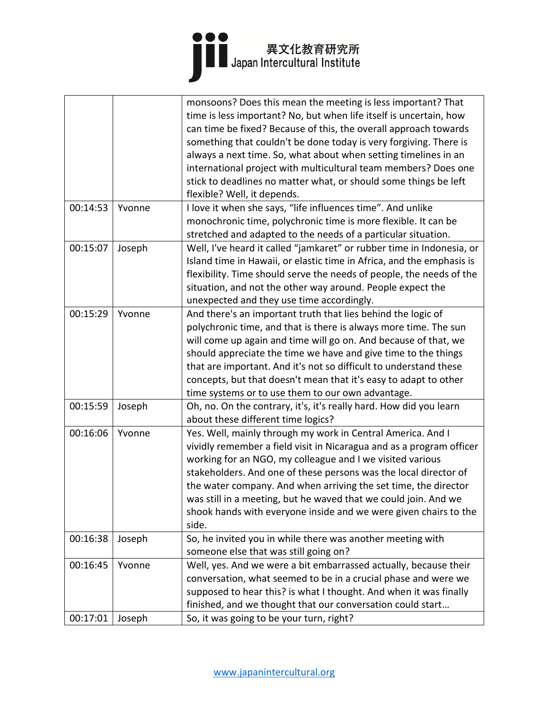## 

|          |        | monsoons? Does this mean the meeting is less important? That          |
|----------|--------|-----------------------------------------------------------------------|
|          |        | time is less important? No, but when life itself is uncertain, how    |
|          |        | can time be fixed? Because of this, the overall approach towards      |
|          |        | something that couldn't be done today is very forgiving. There is     |
|          |        | always a next time. So, what about when setting timelines in an       |
|          |        | international project with multicultural team members? Does one       |
|          |        | stick to deadlines no matter what, or should some things be left      |
|          |        | flexible? Well, it depends.                                           |
|          |        |                                                                       |
| 00:14:53 | Yvonne | I love it when she says, "life influences time". And unlike           |
|          |        | monochronic time, polychronic time is more flexible. It can be        |
|          |        | stretched and adapted to the needs of a particular situation.         |
| 00:15:07 | Joseph | Well, I've heard it called "jamkaret" or rubber time in Indonesia, or |
|          |        | Island time in Hawaii, or elastic time in Africa, and the emphasis is |
|          |        | flexibility. Time should serve the needs of people, the needs of the  |
|          |        | situation, and not the other way around. People expect the            |
|          |        | unexpected and they use time accordingly.                             |
| 00:15:29 | Yvonne | And there's an important truth that lies behind the logic of          |
|          |        | polychronic time, and that is there is always more time. The sun      |
|          |        | will come up again and time will go on. And because of that, we       |
|          |        | should appreciate the time we have and give time to the things        |
|          |        | that are important. And it's not so difficult to understand these     |
|          |        | concepts, but that doesn't mean that it's easy to adapt to other      |
|          |        | time systems or to use them to our own advantage.                     |
| 00:15:59 | Joseph | Oh, no. On the contrary, it's, it's really hard. How did you learn    |
|          |        | about these different time logics?                                    |
| 00:16:06 | Yvonne | Yes. Well, mainly through my work in Central America. And I           |
|          |        | vividly remember a field visit in Nicaragua and as a program officer  |
|          |        | working for an NGO, my colleague and I we visited various             |
|          |        | stakeholders. And one of these persons was the local director of      |
|          |        | the water company. And when arriving the set time, the director       |
|          |        | was still in a meeting, but he waved that we could join. And we       |
|          |        | shook hands with everyone inside and we were given chairs to the      |
|          |        | side.                                                                 |
| 00:16:38 | Joseph | So, he invited you in while there was another meeting with            |
|          |        | someone else that was still going on?                                 |
|          |        |                                                                       |
| 00:16:45 | Yvonne | Well, yes. And we were a bit embarrassed actually, because their      |
|          |        | conversation, what seemed to be in a crucial phase and were we        |
|          |        | supposed to hear this? is what I thought. And when it was finally     |
|          |        | finished, and we thought that our conversation could start            |
| 00:17:01 | Joseph | So, it was going to be your turn, right?                              |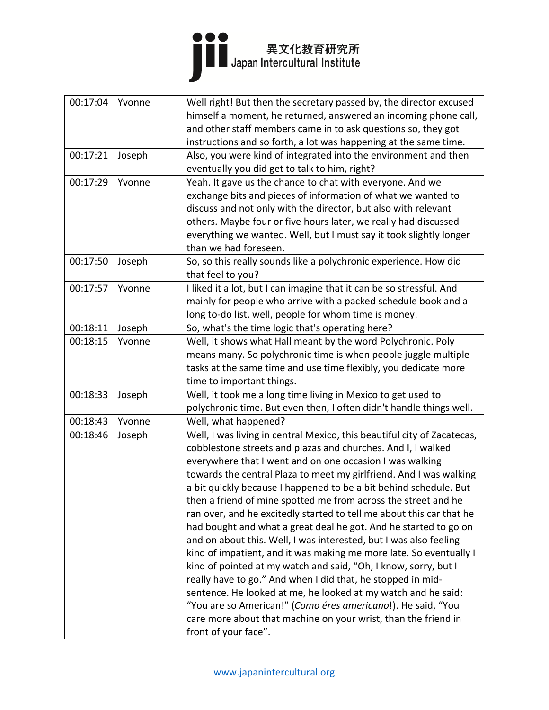## 

| 00:17:04 | Yvonne | Well right! But then the secretary passed by, the director excused      |
|----------|--------|-------------------------------------------------------------------------|
|          |        | himself a moment, he returned, answered an incoming phone call,         |
|          |        | and other staff members came in to ask questions so, they got           |
|          |        | instructions and so forth, a lot was happening at the same time.        |
| 00:17:21 | Joseph | Also, you were kind of integrated into the environment and then         |
|          |        | eventually you did get to talk to him, right?                           |
| 00:17:29 | Yvonne | Yeah. It gave us the chance to chat with everyone. And we               |
|          |        | exchange bits and pieces of information of what we wanted to            |
|          |        | discuss and not only with the director, but also with relevant          |
|          |        | others. Maybe four or five hours later, we really had discussed         |
|          |        | everything we wanted. Well, but I must say it took slightly longer      |
|          |        | than we had foreseen.                                                   |
| 00:17:50 | Joseph | So, so this really sounds like a polychronic experience. How did        |
|          |        | that feel to you?                                                       |
| 00:17:57 | Yvonne | I liked it a lot, but I can imagine that it can be so stressful. And    |
|          |        | mainly for people who arrive with a packed schedule book and a          |
|          |        | long to-do list, well, people for whom time is money.                   |
| 00:18:11 | Joseph | So, what's the time logic that's operating here?                        |
| 00:18:15 | Yvonne | Well, it shows what Hall meant by the word Polychronic. Poly            |
|          |        | means many. So polychronic time is when people juggle multiple          |
|          |        | tasks at the same time and use time flexibly, you dedicate more         |
|          |        | time to important things.                                               |
| 00:18:33 | Joseph | Well, it took me a long time living in Mexico to get used to            |
|          |        | polychronic time. But even then, I often didn't handle things well.     |
| 00:18:43 | Yvonne | Well, what happened?                                                    |
| 00:18:46 | Joseph | Well, I was living in central Mexico, this beautiful city of Zacatecas, |
|          |        | cobblestone streets and plazas and churches. And I, I walked            |
|          |        | everywhere that I went and on one occasion I was walking                |
|          |        | towards the central Plaza to meet my girlfriend. And I was walking      |
|          |        | a bit quickly because I happened to be a bit behind schedule. But       |
|          |        | then a friend of mine spotted me from across the street and he          |
|          |        | ran over, and he excitedly started to tell me about this car that he    |
|          |        | had bought and what a great deal he got. And he started to go on        |
|          |        | and on about this. Well, I was interested, but I was also feeling       |
|          |        | kind of impatient, and it was making me more late. So eventually I      |
|          |        | kind of pointed at my watch and said, "Oh, I know, sorry, but I         |
|          |        | really have to go." And when I did that, he stopped in mid-             |
|          |        | sentence. He looked at me, he looked at my watch and he said:           |
|          |        | "You are so American!" (Como éres americano!). He said, "You            |
|          |        | care more about that machine on your wrist, than the friend in          |
|          |        | front of your face".                                                    |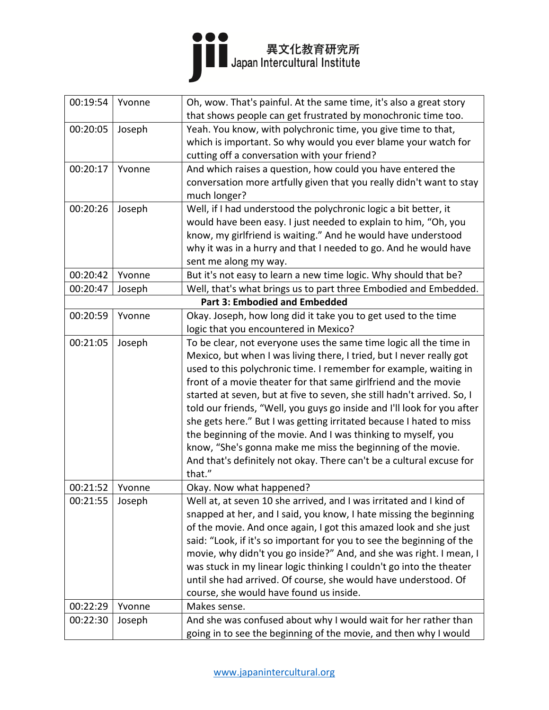

| 00:19:54 | Yvonne | Oh, wow. That's painful. At the same time, it's also a great story<br>that shows people can get frustrated by monochronic time too.                                                                                                                                                                                                                                                                                                                                                                                                                                                                                                                                                                                               |
|----------|--------|-----------------------------------------------------------------------------------------------------------------------------------------------------------------------------------------------------------------------------------------------------------------------------------------------------------------------------------------------------------------------------------------------------------------------------------------------------------------------------------------------------------------------------------------------------------------------------------------------------------------------------------------------------------------------------------------------------------------------------------|
| 00:20:05 | Joseph | Yeah. You know, with polychronic time, you give time to that,<br>which is important. So why would you ever blame your watch for<br>cutting off a conversation with your friend?                                                                                                                                                                                                                                                                                                                                                                                                                                                                                                                                                   |
| 00:20:17 | Yvonne | And which raises a question, how could you have entered the<br>conversation more artfully given that you really didn't want to stay<br>much longer?                                                                                                                                                                                                                                                                                                                                                                                                                                                                                                                                                                               |
| 00:20:26 | Joseph | Well, if I had understood the polychronic logic a bit better, it<br>would have been easy. I just needed to explain to him, "Oh, you<br>know, my girlfriend is waiting." And he would have understood<br>why it was in a hurry and that I needed to go. And he would have<br>sent me along my way.                                                                                                                                                                                                                                                                                                                                                                                                                                 |
| 00:20:42 | Yvonne | But it's not easy to learn a new time logic. Why should that be?                                                                                                                                                                                                                                                                                                                                                                                                                                                                                                                                                                                                                                                                  |
| 00:20:47 | Joseph | Well, that's what brings us to part three Embodied and Embedded.                                                                                                                                                                                                                                                                                                                                                                                                                                                                                                                                                                                                                                                                  |
|          |        | <b>Part 3: Embodied and Embedded</b>                                                                                                                                                                                                                                                                                                                                                                                                                                                                                                                                                                                                                                                                                              |
| 00:20:59 | Yvonne | Okay. Joseph, how long did it take you to get used to the time<br>logic that you encountered in Mexico?                                                                                                                                                                                                                                                                                                                                                                                                                                                                                                                                                                                                                           |
| 00:21:05 | Joseph | To be clear, not everyone uses the same time logic all the time in<br>Mexico, but when I was living there, I tried, but I never really got<br>used to this polychronic time. I remember for example, waiting in<br>front of a movie theater for that same girlfriend and the movie<br>started at seven, but at five to seven, she still hadn't arrived. So, I<br>told our friends, "Well, you guys go inside and I'll look for you after<br>she gets here." But I was getting irritated because I hated to miss<br>the beginning of the movie. And I was thinking to myself, you<br>know, "She's gonna make me miss the beginning of the movie.<br>And that's definitely not okay. There can't be a cultural excuse for<br>that." |
| 00:21:52 | Yvonne | Okay. Now what happened?                                                                                                                                                                                                                                                                                                                                                                                                                                                                                                                                                                                                                                                                                                          |
| 00:21:55 | Joseph | Well at, at seven 10 she arrived, and I was irritated and I kind of<br>snapped at her, and I said, you know, I hate missing the beginning<br>of the movie. And once again, I got this amazed look and she just<br>said: "Look, if it's so important for you to see the beginning of the<br>movie, why didn't you go inside?" And, and she was right. I mean, I<br>was stuck in my linear logic thinking I couldn't go into the theater<br>until she had arrived. Of course, she would have understood. Of<br>course, she would have found us inside.                                                                                                                                                                              |
| 00:22:29 | Yvonne | Makes sense.                                                                                                                                                                                                                                                                                                                                                                                                                                                                                                                                                                                                                                                                                                                      |
| 00:22:30 | Joseph | And she was confused about why I would wait for her rather than<br>going in to see the beginning of the movie, and then why I would                                                                                                                                                                                                                                                                                                                                                                                                                                                                                                                                                                                               |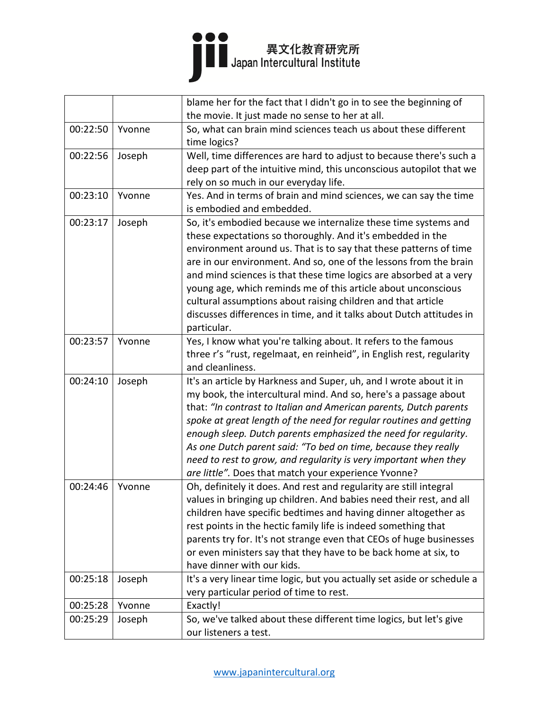## 

|          |        | blame her for the fact that I didn't go in to see the beginning of      |
|----------|--------|-------------------------------------------------------------------------|
|          |        | the movie. It just made no sense to her at all.                         |
| 00:22:50 | Yvonne | So, what can brain mind sciences teach us about these different         |
|          |        | time logics?                                                            |
| 00:22:56 | Joseph | Well, time differences are hard to adjust to because there's such a     |
|          |        | deep part of the intuitive mind, this unconscious autopilot that we     |
|          |        | rely on so much in our everyday life.                                   |
| 00:23:10 | Yvonne | Yes. And in terms of brain and mind sciences, we can say the time       |
|          |        | is embodied and embedded.                                               |
| 00:23:17 | Joseph | So, it's embodied because we internalize these time systems and         |
|          |        | these expectations so thoroughly. And it's embedded in the              |
|          |        | environment around us. That is to say that these patterns of time       |
|          |        | are in our environment. And so, one of the lessons from the brain       |
|          |        | and mind sciences is that these time logics are absorbed at a very      |
|          |        | young age, which reminds me of this article about unconscious           |
|          |        | cultural assumptions about raising children and that article            |
|          |        | discusses differences in time, and it talks about Dutch attitudes in    |
|          |        | particular.                                                             |
| 00:23:57 | Yvonne | Yes, I know what you're talking about. It refers to the famous          |
|          |        | three r's "rust, regelmaat, en reinheid", in English rest, regularity   |
|          |        | and cleanliness.                                                        |
| 00:24:10 | Joseph | It's an article by Harkness and Super, uh, and I wrote about it in      |
|          |        | my book, the intercultural mind. And so, here's a passage about         |
|          |        | that: "In contrast to Italian and American parents, Dutch parents       |
|          |        | spoke at great length of the need for regular routines and getting      |
|          |        | enough sleep. Dutch parents emphasized the need for regularity.         |
|          |        | As one Dutch parent said: "To bed on time, because they really          |
|          |        | need to rest to grow, and regularity is very important when they        |
|          |        | are little". Does that match your experience Yvonne?                    |
| 00:24:46 | Yvonne | Oh, definitely it does. And rest and regularity are still integral      |
|          |        | values in bringing up children. And babies need their rest, and all     |
|          |        | children have specific bedtimes and having dinner altogether as         |
|          |        | rest points in the hectic family life is indeed something that          |
|          |        | parents try for. It's not strange even that CEOs of huge businesses     |
|          |        | or even ministers say that they have to be back home at six, to         |
|          |        | have dinner with our kids.                                              |
| 00:25:18 | Joseph | It's a very linear time logic, but you actually set aside or schedule a |
|          |        | very particular period of time to rest.                                 |
| 00:25:28 | Yvonne | Exactly!                                                                |
| 00:25:29 | Joseph | So, we've talked about these different time logics, but let's give      |
|          |        | our listeners a test.                                                   |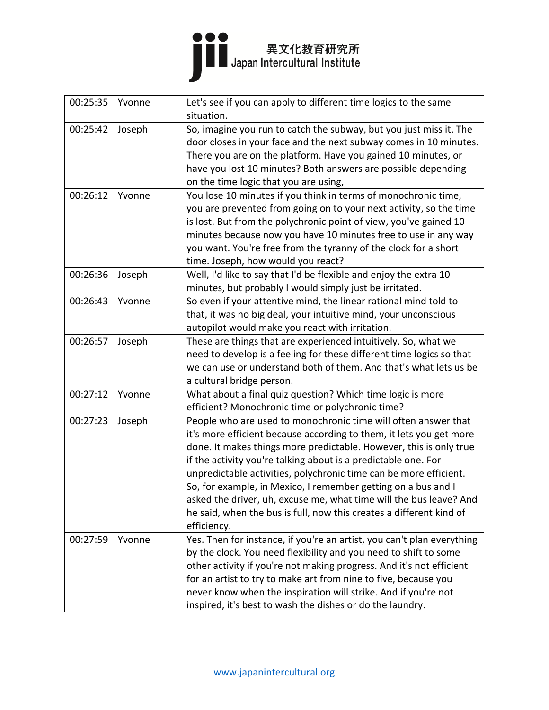

| 00:25:35 | Yvonne | Let's see if you can apply to different time logics to the same<br>situation.                                                                                                                                                                                                                                                                                                                                                                                                                                                                                                   |
|----------|--------|---------------------------------------------------------------------------------------------------------------------------------------------------------------------------------------------------------------------------------------------------------------------------------------------------------------------------------------------------------------------------------------------------------------------------------------------------------------------------------------------------------------------------------------------------------------------------------|
| 00:25:42 | Joseph | So, imagine you run to catch the subway, but you just miss it. The<br>door closes in your face and the next subway comes in 10 minutes.<br>There you are on the platform. Have you gained 10 minutes, or                                                                                                                                                                                                                                                                                                                                                                        |
|          |        | have you lost 10 minutes? Both answers are possible depending<br>on the time logic that you are using,                                                                                                                                                                                                                                                                                                                                                                                                                                                                          |
| 00:26:12 | Yvonne | You lose 10 minutes if you think in terms of monochronic time,<br>you are prevented from going on to your next activity, so the time<br>is lost. But from the polychronic point of view, you've gained 10<br>minutes because now you have 10 minutes free to use in any way<br>you want. You're free from the tyranny of the clock for a short<br>time. Joseph, how would you react?                                                                                                                                                                                            |
| 00:26:36 | Joseph | Well, I'd like to say that I'd be flexible and enjoy the extra 10<br>minutes, but probably I would simply just be irritated.                                                                                                                                                                                                                                                                                                                                                                                                                                                    |
| 00:26:43 | Yvonne | So even if your attentive mind, the linear rational mind told to<br>that, it was no big deal, your intuitive mind, your unconscious<br>autopilot would make you react with irritation.                                                                                                                                                                                                                                                                                                                                                                                          |
| 00:26:57 | Joseph | These are things that are experienced intuitively. So, what we<br>need to develop is a feeling for these different time logics so that<br>we can use or understand both of them. And that's what lets us be<br>a cultural bridge person.                                                                                                                                                                                                                                                                                                                                        |
| 00:27:12 | Yvonne | What about a final quiz question? Which time logic is more<br>efficient? Monochronic time or polychronic time?                                                                                                                                                                                                                                                                                                                                                                                                                                                                  |
| 00:27:23 | Joseph | People who are used to monochronic time will often answer that<br>it's more efficient because according to them, it lets you get more<br>done. It makes things more predictable. However, this is only true<br>if the activity you're talking about is a predictable one. For<br>unpredictable activities, polychronic time can be more efficient.<br>So, for example, in Mexico, I remember getting on a bus and I<br>asked the driver, uh, excuse me, what time will the bus leave? And<br>he said, when the bus is full, now this creates a different kind of<br>efficiency. |
| 00:27:59 | Yvonne | Yes. Then for instance, if you're an artist, you can't plan everything<br>by the clock. You need flexibility and you need to shift to some<br>other activity if you're not making progress. And it's not efficient<br>for an artist to try to make art from nine to five, because you<br>never know when the inspiration will strike. And if you're not<br>inspired, it's best to wash the dishes or do the laundry.                                                                                                                                                            |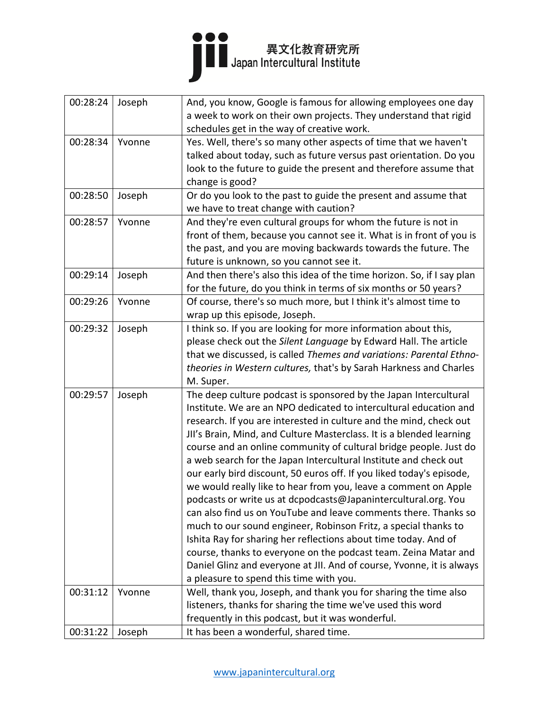

| 00:28:24 | Joseph | And, you know, Google is famous for allowing employees one day         |
|----------|--------|------------------------------------------------------------------------|
|          |        | a week to work on their own projects. They understand that rigid       |
|          |        | schedules get in the way of creative work.                             |
| 00:28:34 | Yvonne | Yes. Well, there's so many other aspects of time that we haven't       |
|          |        | talked about today, such as future versus past orientation. Do you     |
|          |        | look to the future to guide the present and therefore assume that      |
|          |        | change is good?                                                        |
| 00:28:50 | Joseph | Or do you look to the past to guide the present and assume that        |
|          |        | we have to treat change with caution?                                  |
| 00:28:57 | Yvonne | And they're even cultural groups for whom the future is not in         |
|          |        | front of them, because you cannot see it. What is in front of you is   |
|          |        | the past, and you are moving backwards towards the future. The         |
|          |        | future is unknown, so you cannot see it.                               |
| 00:29:14 | Joseph | And then there's also this idea of the time horizon. So, if I say plan |
|          |        | for the future, do you think in terms of six months or 50 years?       |
| 00:29:26 | Yvonne | Of course, there's so much more, but I think it's almost time to       |
|          |        | wrap up this episode, Joseph.                                          |
| 00:29:32 | Joseph | I think so. If you are looking for more information about this,        |
|          |        | please check out the Silent Language by Edward Hall. The article       |
|          |        | that we discussed, is called Themes and variations: Parental Ethno-    |
|          |        | theories in Western cultures, that's by Sarah Harkness and Charles     |
|          |        | M. Super.                                                              |
| 00:29:57 | Joseph | The deep culture podcast is sponsored by the Japan Intercultural       |
|          |        | Institute. We are an NPO dedicated to intercultural education and      |
|          |        | research. If you are interested in culture and the mind, check out     |
|          |        | JII's Brain, Mind, and Culture Masterclass. It is a blended learning   |
|          |        | course and an online community of cultural bridge people. Just do      |
|          |        | a web search for the Japan Intercultural Institute and check out       |
|          |        | our early bird discount, 50 euros off. If you liked today's episode,   |
|          |        | we would really like to hear from you, leave a comment on Apple        |
|          |        | podcasts or write us at dcpodcasts@Japanintercultural.org. You         |
|          |        | can also find us on YouTube and leave comments there. Thanks so        |
|          |        | much to our sound engineer, Robinson Fritz, a special thanks to        |
|          |        | Ishita Ray for sharing her reflections about time today. And of        |
|          |        | course, thanks to everyone on the podcast team. Zeina Matar and        |
|          |        | Daniel Glinz and everyone at JII. And of course, Yvonne, it is always  |
|          |        | a pleasure to spend this time with you.                                |
| 00:31:12 | Yvonne | Well, thank you, Joseph, and thank you for sharing the time also       |
|          |        | listeners, thanks for sharing the time we've used this word            |
|          |        | frequently in this podcast, but it was wonderful.                      |
| 00:31:22 | Joseph | It has been a wonderful, shared time.                                  |